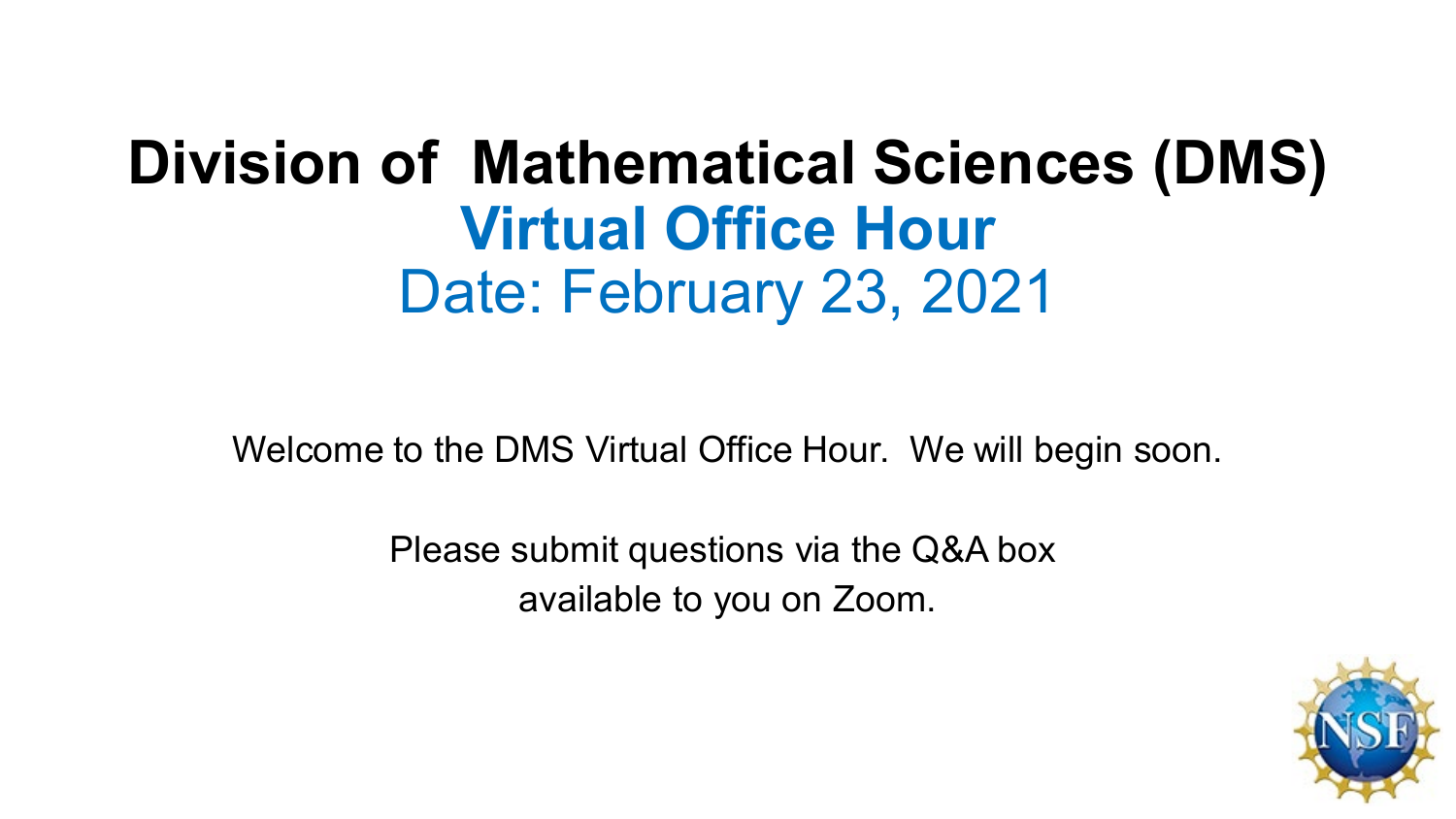# **Division of Mathematical Sciences (DMS) Virtual Office Hour** Date: February 23, 2021

Welcome to the DMS Virtual Office Hour. We will begin soon.

Please submit questions via the Q&A box available to you on Zoom.

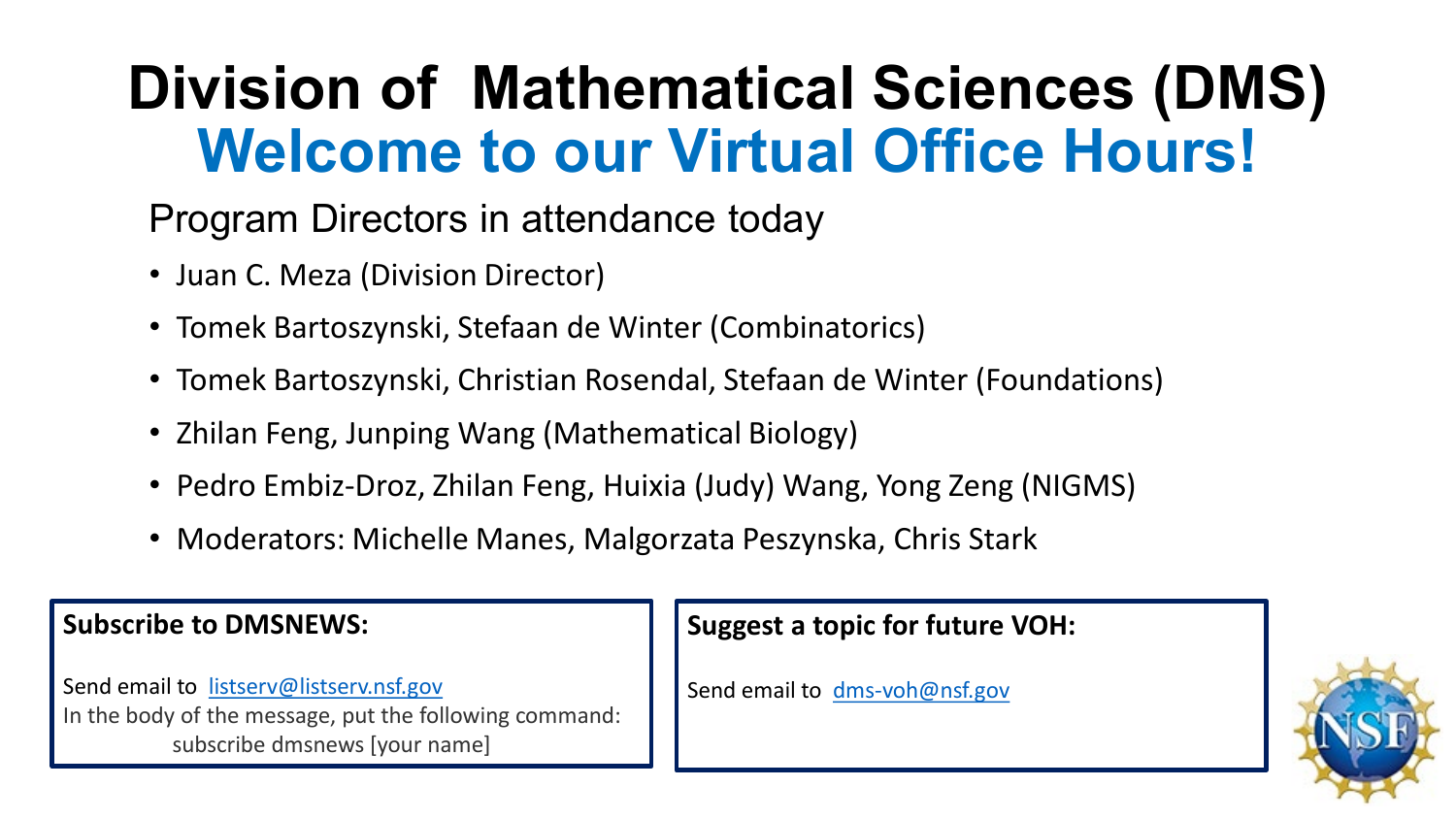# **Division of Mathematical Sciences (DMS) Welcome to our Virtual Office Hours!**

#### Program Directors in attendance today

- Juan C. Meza (Division Director)
- Tomek Bartoszynski, Stefaan de Winter (Combinatorics)
- Tomek Bartoszynski, Christian Rosendal, Stefaan de Winter (Foundations)
- Zhilan Feng, Junping Wang (Mathematical Biology)
- Pedro Embiz-Droz, Zhilan Feng, Huixia (Judy) Wang, Yong Zeng (NIGMS)
- Moderators: Michelle Manes, Malgorzata Peszynska, Chris Stark

#### **Subscribe to DMSNEWS:**

Send email to [listserv@listserv.nsf.gov](mailto:listserv@listserv.nsf.gov) In the body of the message, put the following command: subscribe dmsnews [your name]

#### **Suggest a topic for future VOH:**

Send email to [dms-voh@nsf.gov](mailto:dms-voh@nsf.gov)

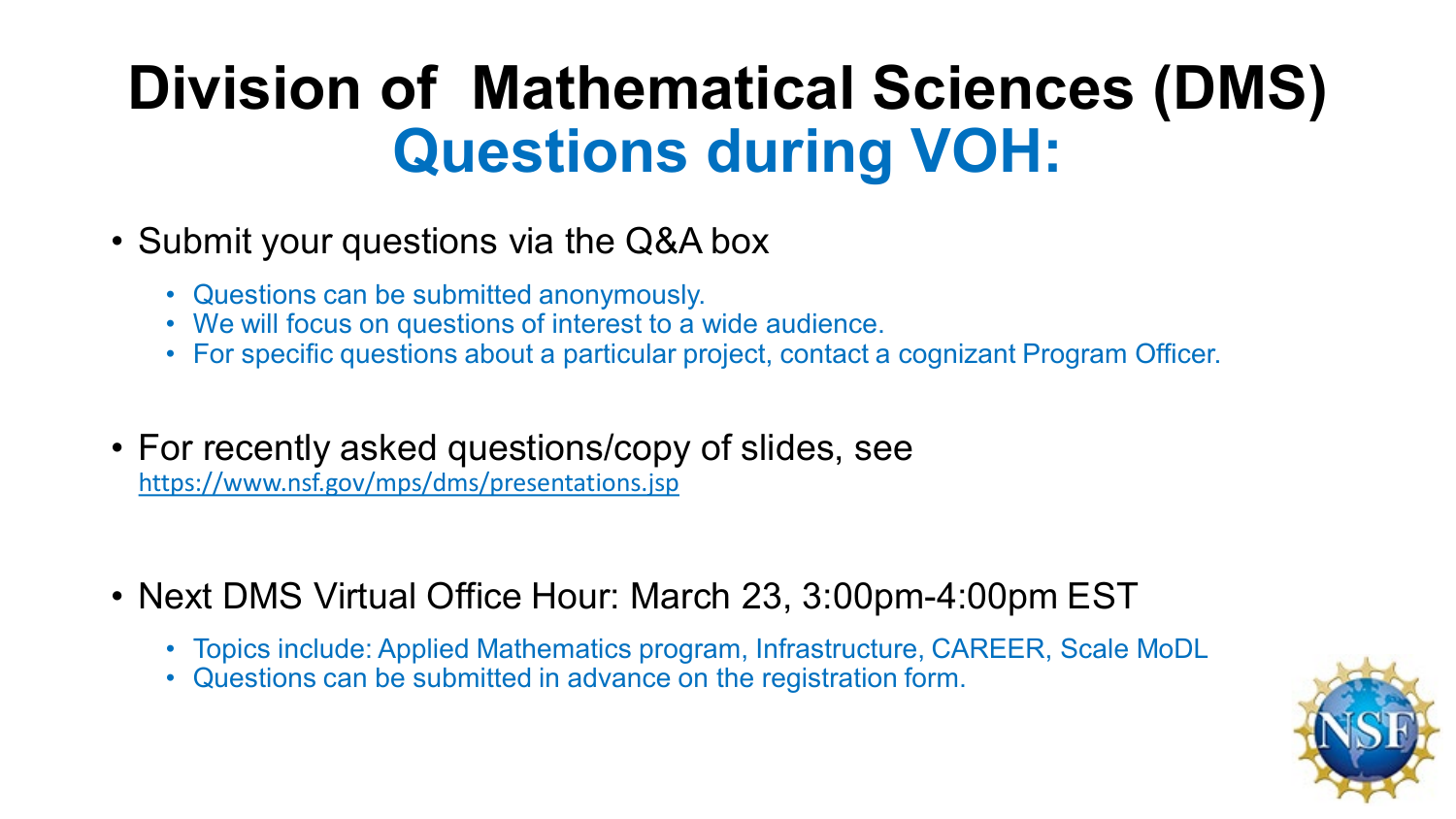# **Division of Mathematical Sciences (DMS) Questions during VOH:**

#### • Submit your questions via the Q&A box

- Questions can be submitted anonymously.
- We will focus on questions of interest to a wide audience.
- For specific questions about a particular project, contact a cognizant Program Officer.
- For recently asked questions/copy of slides, see <https://www.nsf.gov/mps/dms/presentations.jsp>
- Next DMS Virtual Office Hour: March 23, 3:00pm-4:00pm EST
	- Topics include: Applied Mathematics program, Infrastructure, CAREER, Scale MoDL
	- Questions can be submitted in advance on the registration form.

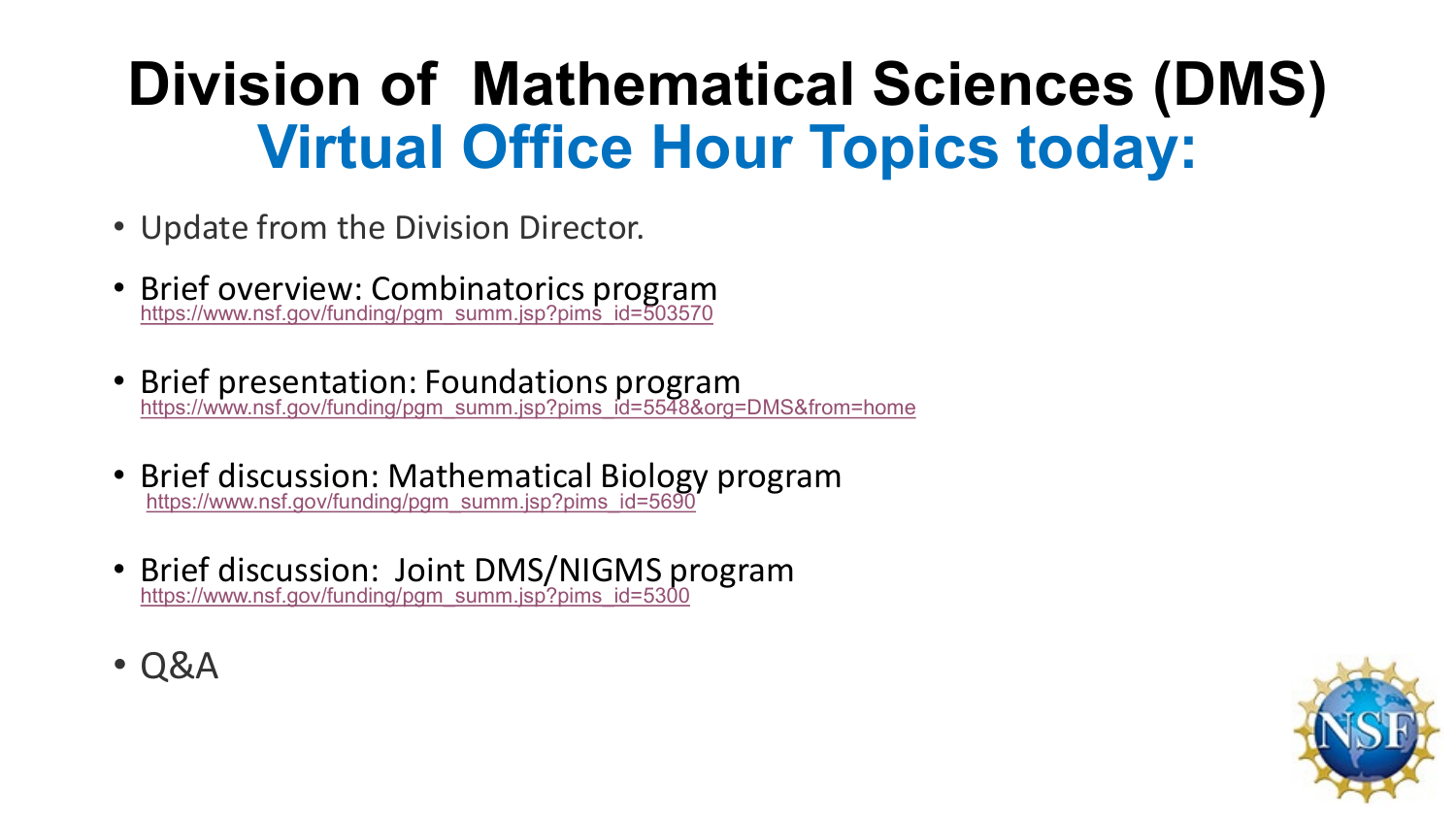# **Division of Mathematical Sciences (DMS) Virtual Office Hour Topics today:**

- Update from the Division Director.
- Brief overview: Combinatorics program [https://www.nsf.gov/funding/pgm\\_summ.jsp?pims\\_id=503570](https://www.nsf.gov/funding/pgm_summ.jsp?pims_id=503570)
- Brief presentation: Foundations program<br>[https://www.nsf.gov/funding/pgm\\_summ.jsp?pims\\_id=5548&org=DMS&from=home](https://www.nsf.gov/funding/pgm_summ.jsp?pims_id=5548&org=DMS&from=home)
- Brief discussion: Mathematical Biology program<br>[https://www.nsf.gov/funding/pgm\\_summ.jsp?pims\\_id=5690](https://www.nsf.gov/funding/pgm_summ.jsp?pims_id=5690)
- Brief discussion: Joint DMS/NIGMS program [https://www.nsf.gov/funding/pgm\\_summ.jsp?pims\\_id=5300](https://www.nsf.gov/funding/pgm_summ.jsp?pims_id=5300)
- Q&A

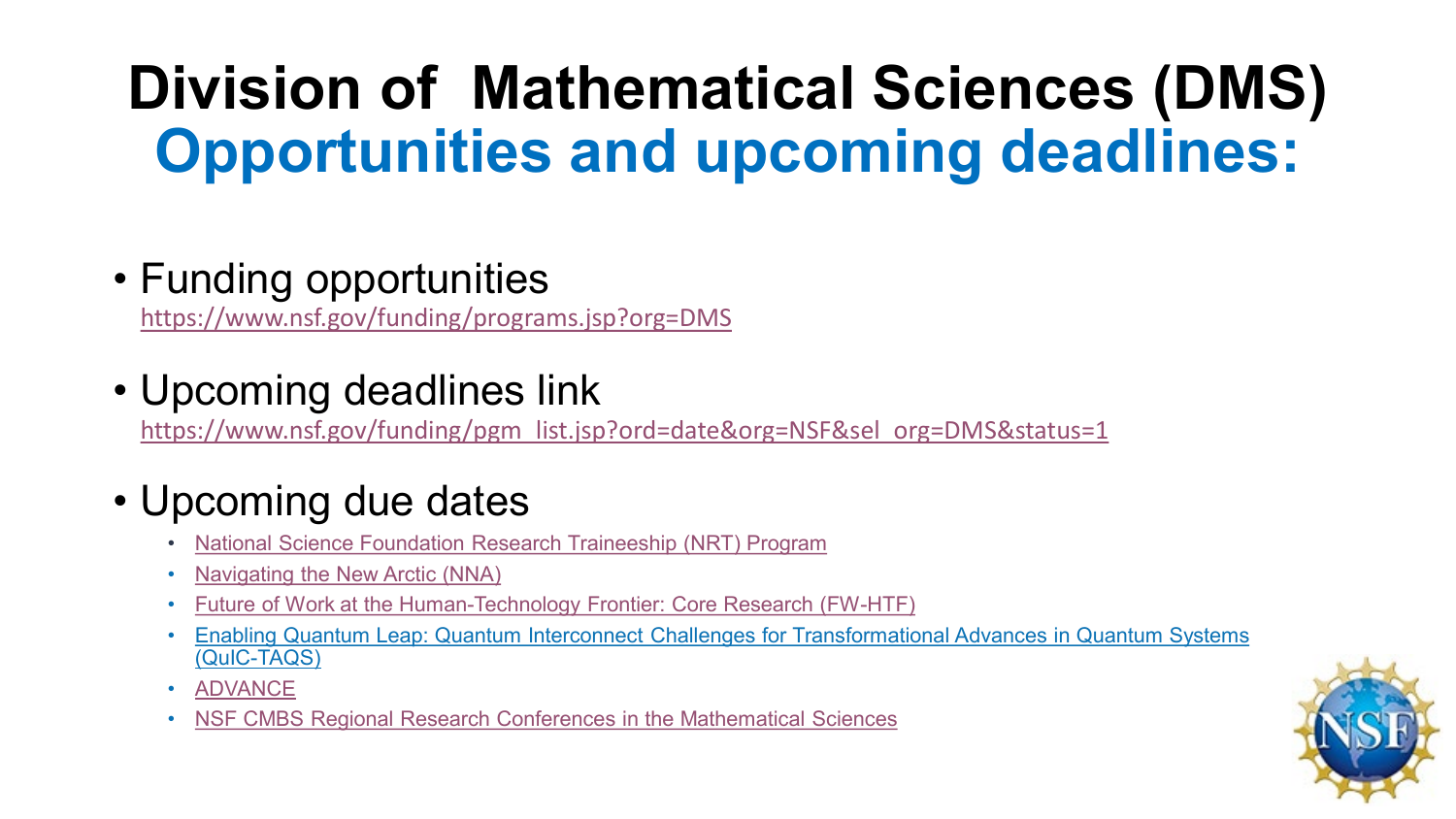# **Division of Mathematical Sciences (DMS) Opportunities and upcoming deadlines:**

### • Funding opportunities

<https://www.nsf.gov/funding/programs.jsp?org=DMS>

### • Upcoming deadlines link

[https://www.nsf.gov/funding/pgm\\_list.jsp?ord=date&org=NSF&sel\\_org=DMS&status=1](https://www.nsf.gov/funding/pgm_list.jsp?ord=date&org=NSF&sel_org=DMS&status=1)

### • Upcoming due dates

- [National Science Foundation Research Traineeship \(NRT\) Program](https://www.nsf.gov/funding/pgm_summ.jsp?pims_id=505015&org=DMS&sel_org=DMS&from=fund)
- [Navigating the New Arctic \(NNA\)](https://www.nsf.gov/funding/pgm_summ.jsp?pims_id=505594&org=DMS&sel_org=DMS&from=fund)
- [Future of Work at the Human-Technology Frontier: Core Research \(FW-HTF\)](https://www.nsf.gov/funding/pgm_summ.jsp?pims_id=505620&org=DMS&sel_org=DMS&from=fund)
- [Enabling Quantum Leap: Quantum Interconnect Challenges for Transformational Advances in Quantum Systems](https://www.nsf.gov/funding/pgm_summ.jsp?pims_id=505860&org=DMS&sel_org=DMS&from=fund)  (QuIC-TAQS)
- **[ADVANCE](https://www.nsf.gov/funding/pgm_summ.jsp?pims_id=5383&org=DMS&sel_org=DMS&from=fund)**
- [NSF CMBS Regional Research Conferences in the Mathematical Sciences](https://www.nsf.gov/funding/pgm_summ.jsp?pims_id=504930&org=DMS&sel_org=DMS&from=fund)

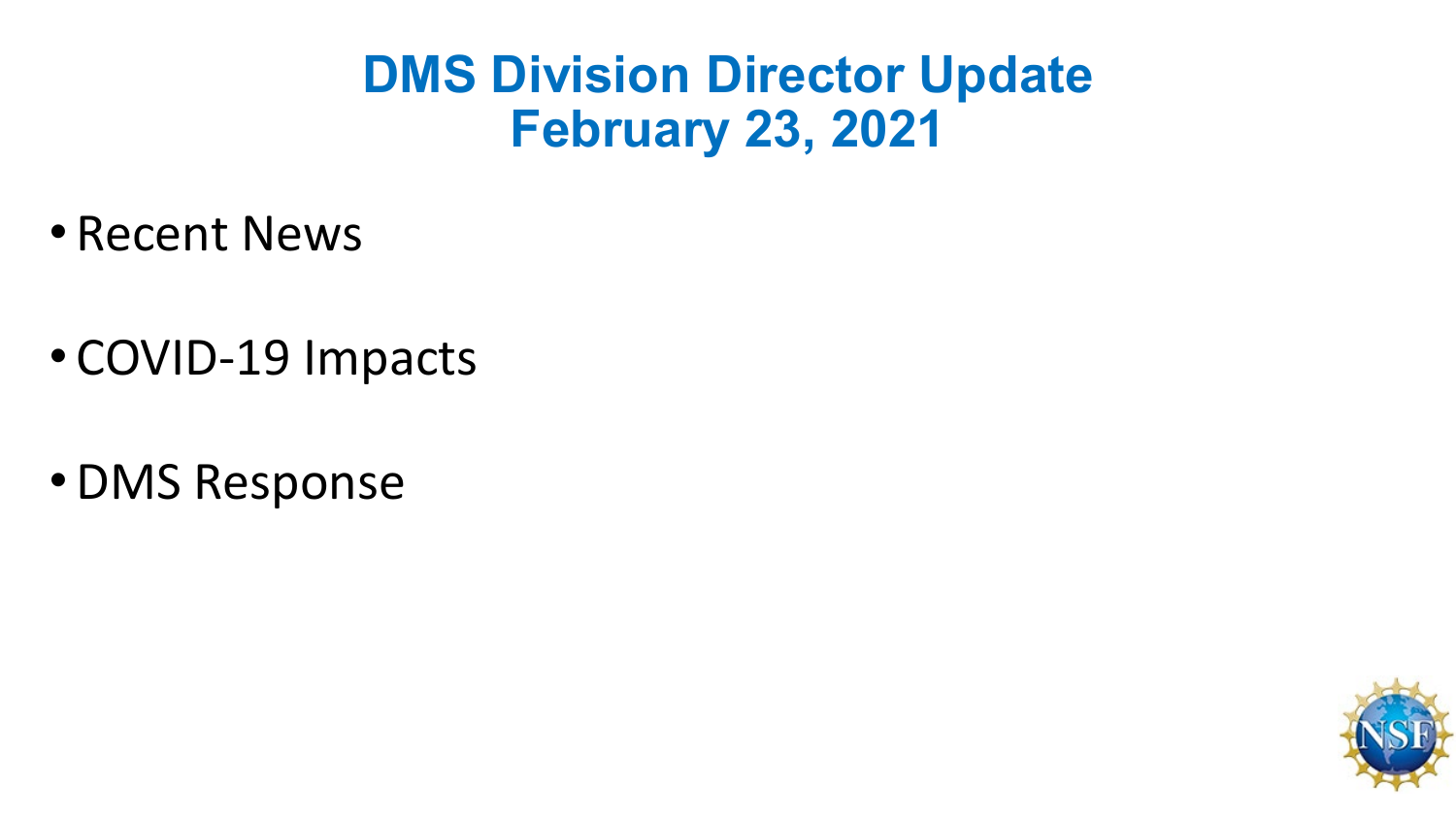## **DMS Division Director Update February 23, 2021**

- Recent News
- COVID-19 Impacts
- •DMS Response

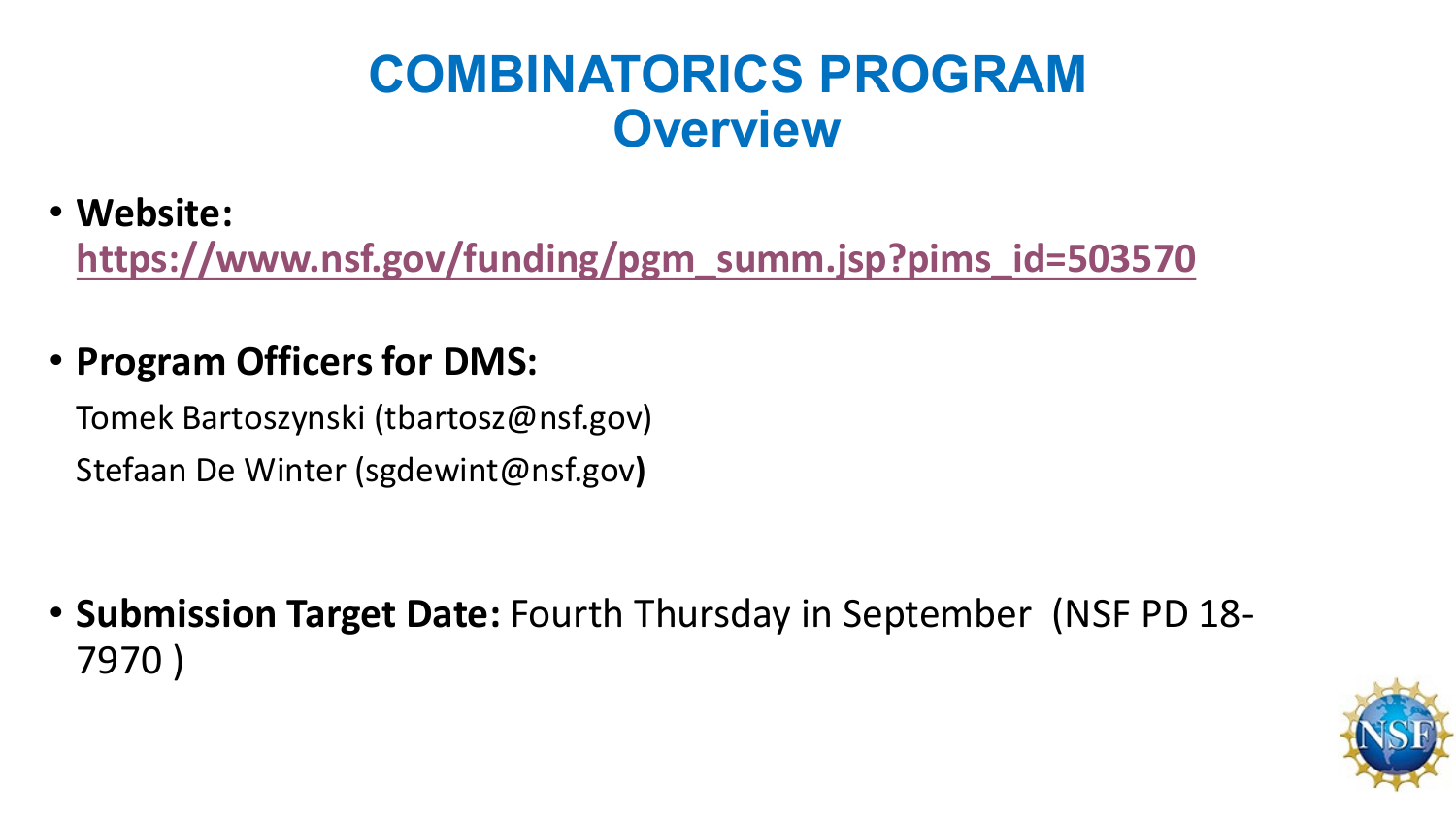## **COMBINATORICS PROGRAM Overview**

#### • **Website:**

**[https://www.nsf.gov/funding/pgm\\_summ.jsp?pims\\_id=503570](https://www.nsf.gov/funding/pgm_summ.jsp?pims_id=503570)**

#### • **Program Officers for DMS:**

Tomek Bartoszynski (tbartosz@nsf.gov) Stefaan De Winter (sgdewint@nsf.gov**)**

• **Submission Target Date:** Fourth Thursday in September (NSF PD 18- 7970 )

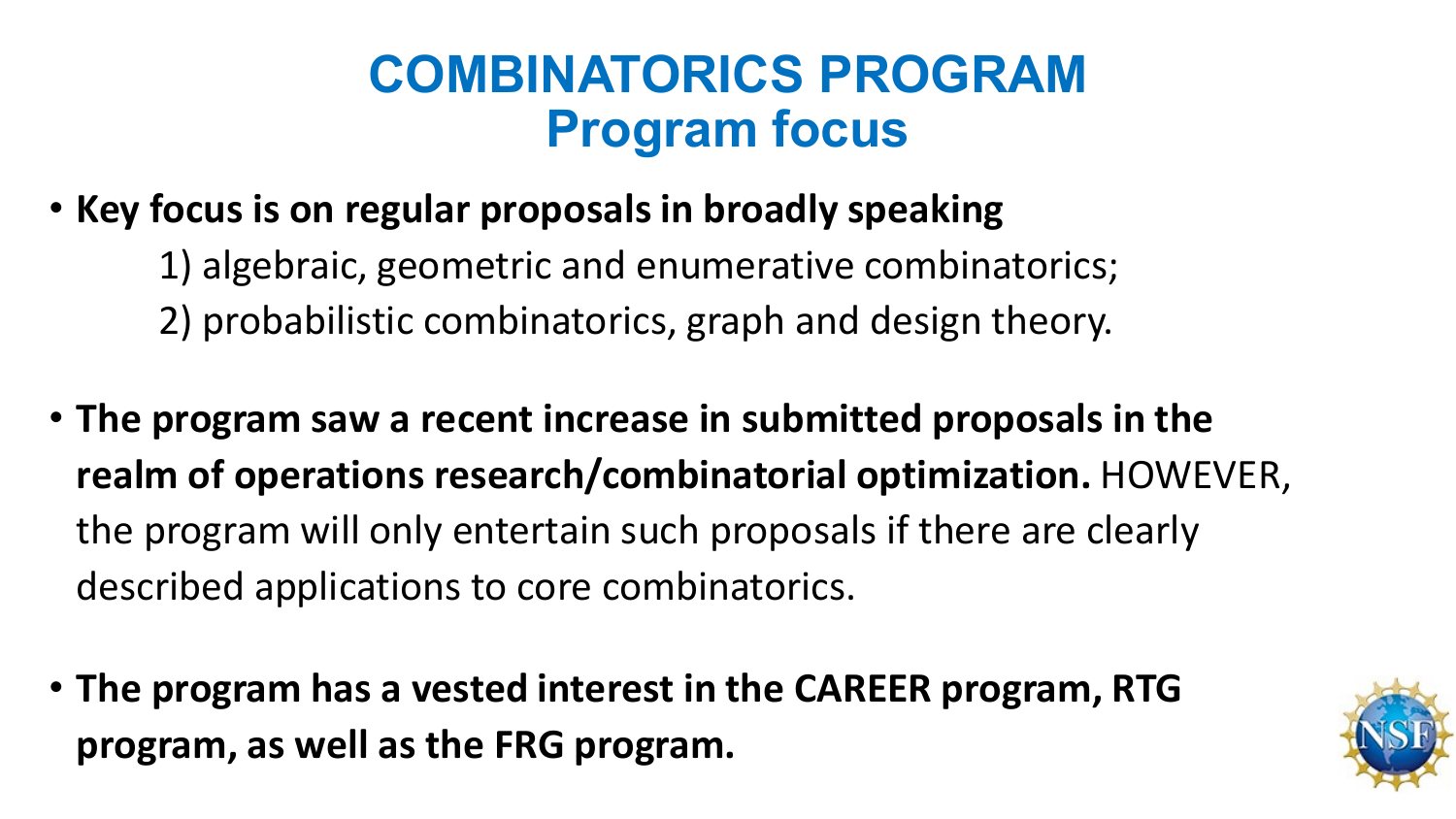## **COMBINATORICS PROGRAM Program focus**

- **Key focus is on regular proposals in broadly speaking**
	- 1) algebraic, geometric and enumerative combinatorics; 2) probabilistic combinatorics, graph and design theory.
- **The program saw a recent increase in submitted proposals in the realm of operations research/combinatorial optimization.** HOWEVER, the program will only entertain such proposals if there are clearly described applications to core combinatorics.
- **The program has a vested interest in the CAREER program, RTG program, as well as the FRG program.**

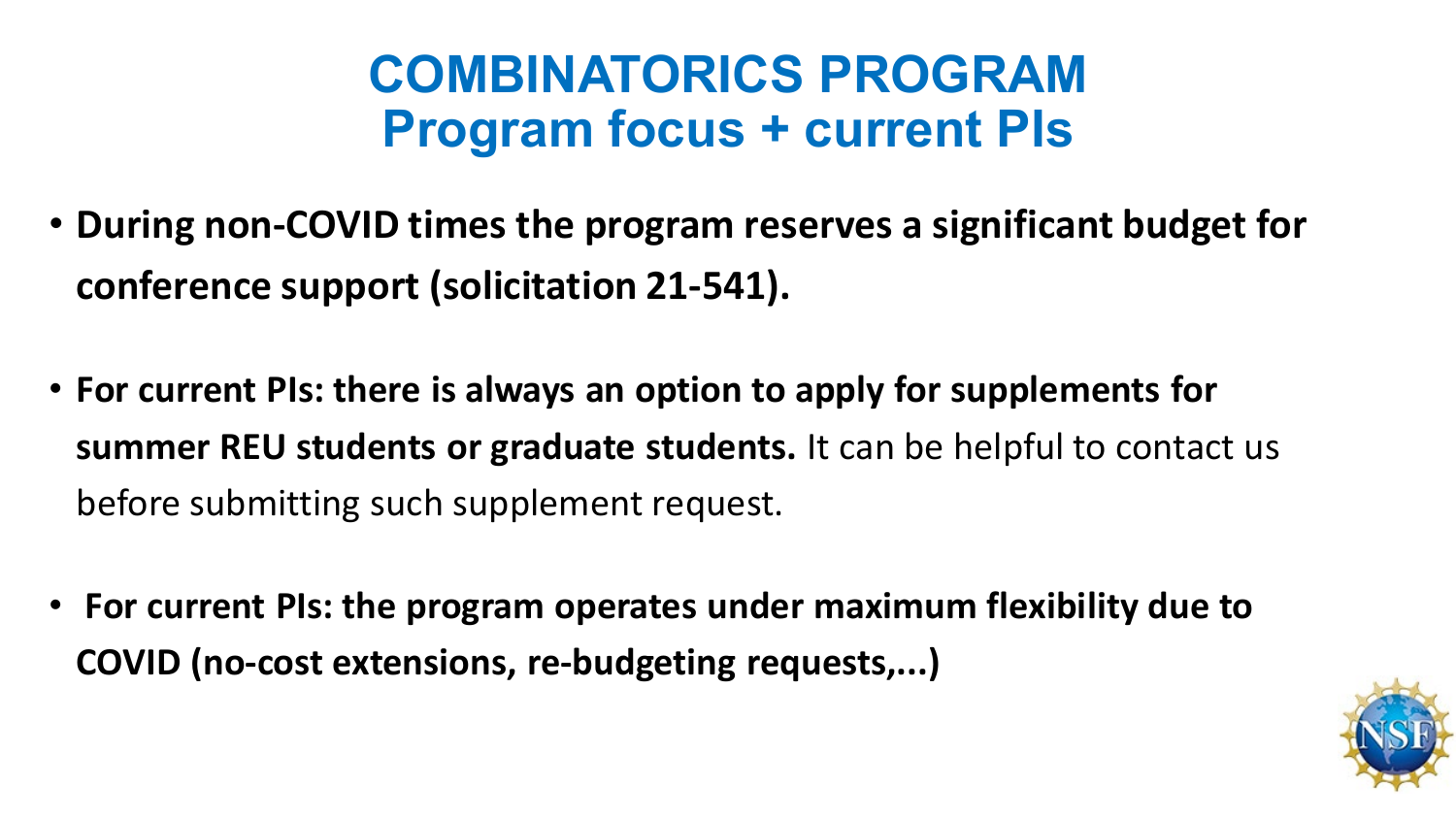## **COMBINATORICS PROGRAM Program focus + current PIs**

- **During non-COVID times the program reserves a significant budget for conference support (solicitation 21-541).**
- **For current PIs: there is always an option to apply for supplements for summer REU students or graduate students.** It can be helpful to contact us before submitting such supplement request.
- **For current PIs: the program operates under maximum flexibility due to COVID (no-cost extensions, re-budgeting requests,...)**

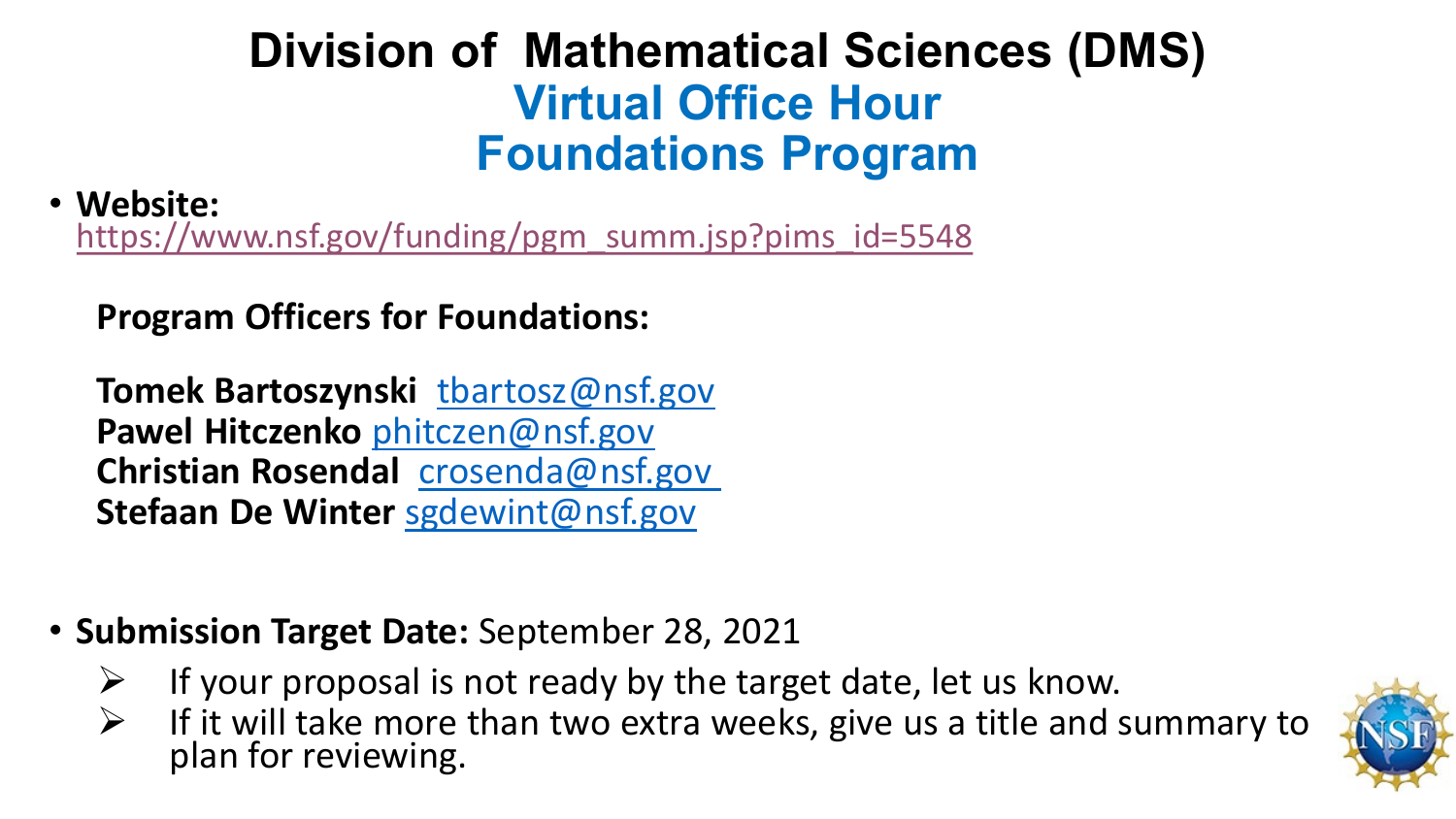### **Division of Mathematical Sciences (DMS) Virtual Office Hour Foundations Program**

• **Website:**  [https://www.nsf.gov/funding/pgm\\_summ.jsp?pims\\_id=5548](https://www.nsf.gov/funding/pgm_summ.jsp?pims_id=5548)

**Program Officers for Foundations:**

**Tomek Bartoszynski** [tbartosz@nsf.gov](mailto:tbartosz@nsf.gov) **Pawel Hitczenko** [phitczen@nsf.gov](mailto:phitczen@nsf.gov) **Christian Rosendal** [crosenda@nsf.gov](mailto:tbartosz@nsf.gov)  **Stefaan De Winter** [sgdewint@nsf.gov](mailto:sgdewint@nsf.gov)

- **Submission Target Date:** September 28, 2021
	- $\triangleright$  If your proposal is not ready by the target date, let us know.
	- $\triangleright$  If it will take more than two extra weeks, give us a title and summary to plan for reviewing.

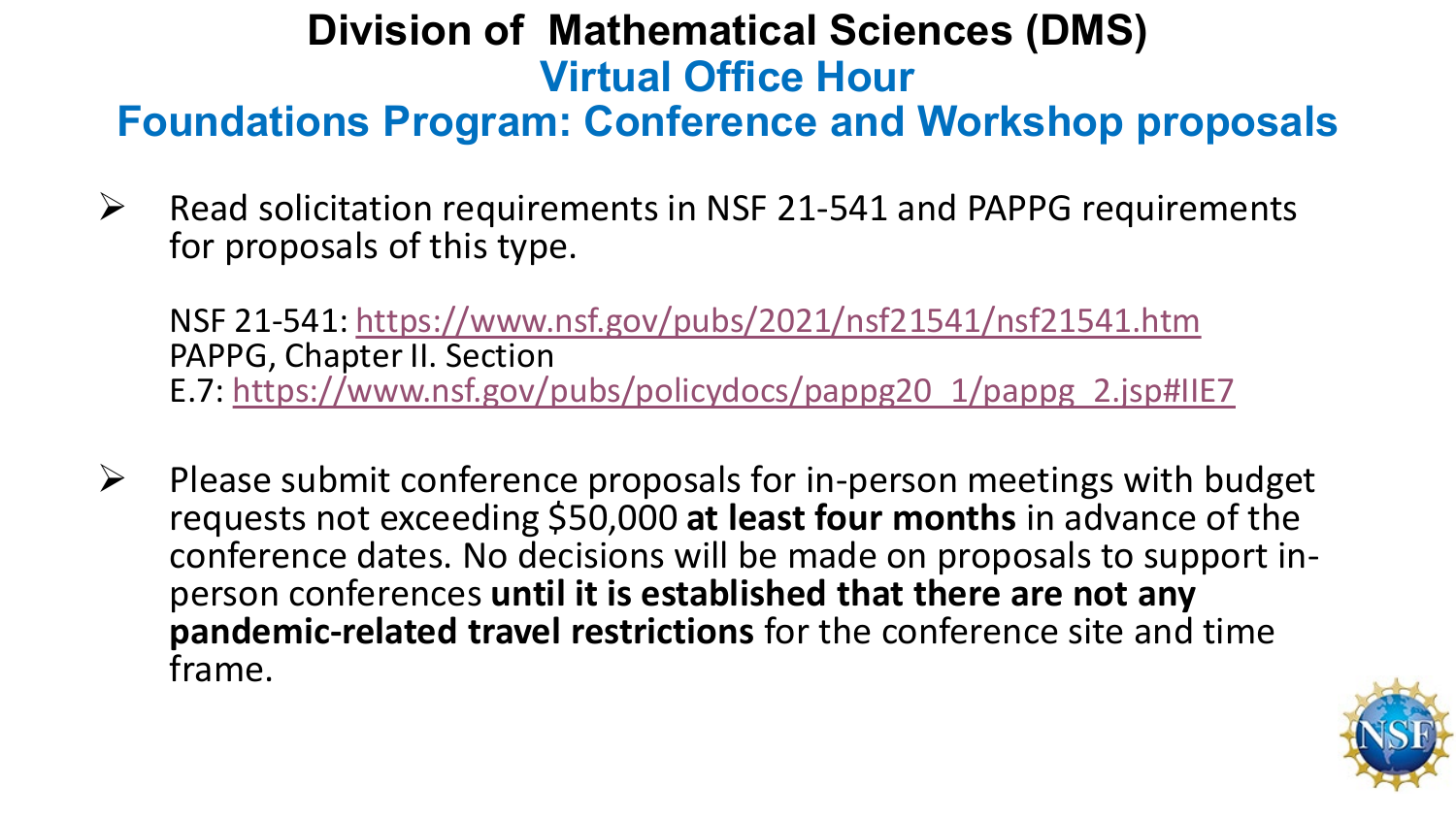### **Division of Mathematical Sciences (DMS) Virtual Office Hour**

### **Foundations Program: Conference and Workshop proposals**

 $\triangleright$  Read solicitation requirements in NSF 21-541 and PAPPG requirements for proposals of this type.

NSF 21-541:<https://www.nsf.gov/pubs/2021/nsf21541/nsf21541.htm> PAPPG, Chapter II. Section E.7: [https://www.nsf.gov/pubs/policydocs/pappg20\\_1/pappg\\_2.jsp#IIE7](https://www.nsf.gov/pubs/policydocs/pappg20_1/pappg_2.jsp#IIE7)

 $\triangleright$  Please submit conference proposals for in-person meetings with budget requests not exceeding \$50,000 **at least four months** in advance of the conference dates. No decisions will be made on proposals to support in- person conferences **until it is established that there are not any pandemic-related travel restrictions** for the conference site and time frame.

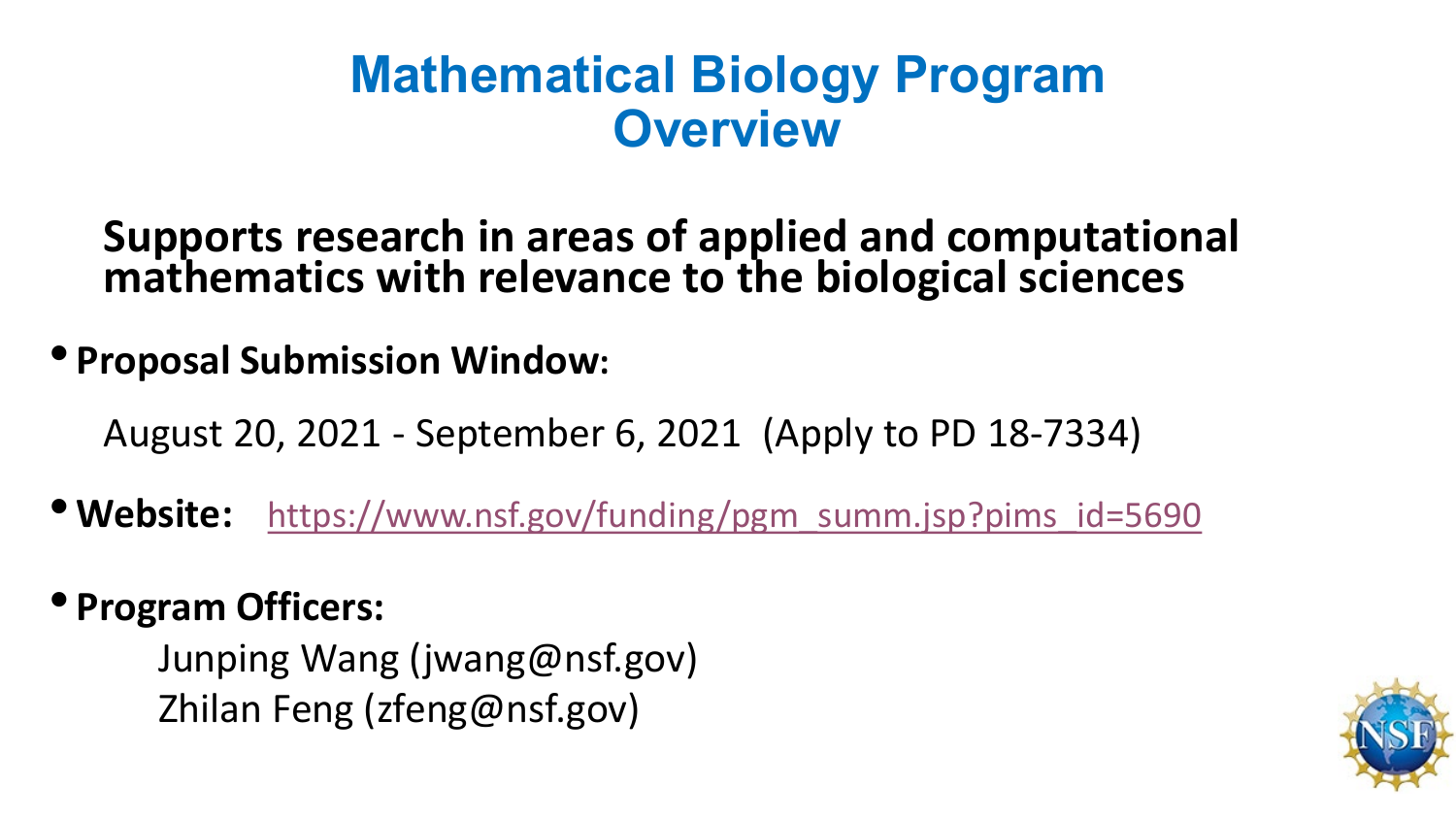### **Mathematical Biology Program Overview**

**Supports research in areas of applied and computational mathematics with relevance to the biological sciences**

• **Proposal Submission Window:**

August 20, 2021 - September 6, 2021 (Apply to PD 18-7334)

• **Website:** [https://www.nsf.gov/funding/pgm\\_summ.jsp?pims\\_id=5690](https://www.nsf.gov/funding/pgm_summ.jsp?pims_id=5690)

#### • **Program Officers:**

Junping Wang (jwang@nsf.gov) Zhilan Feng (zfeng@nsf.gov)

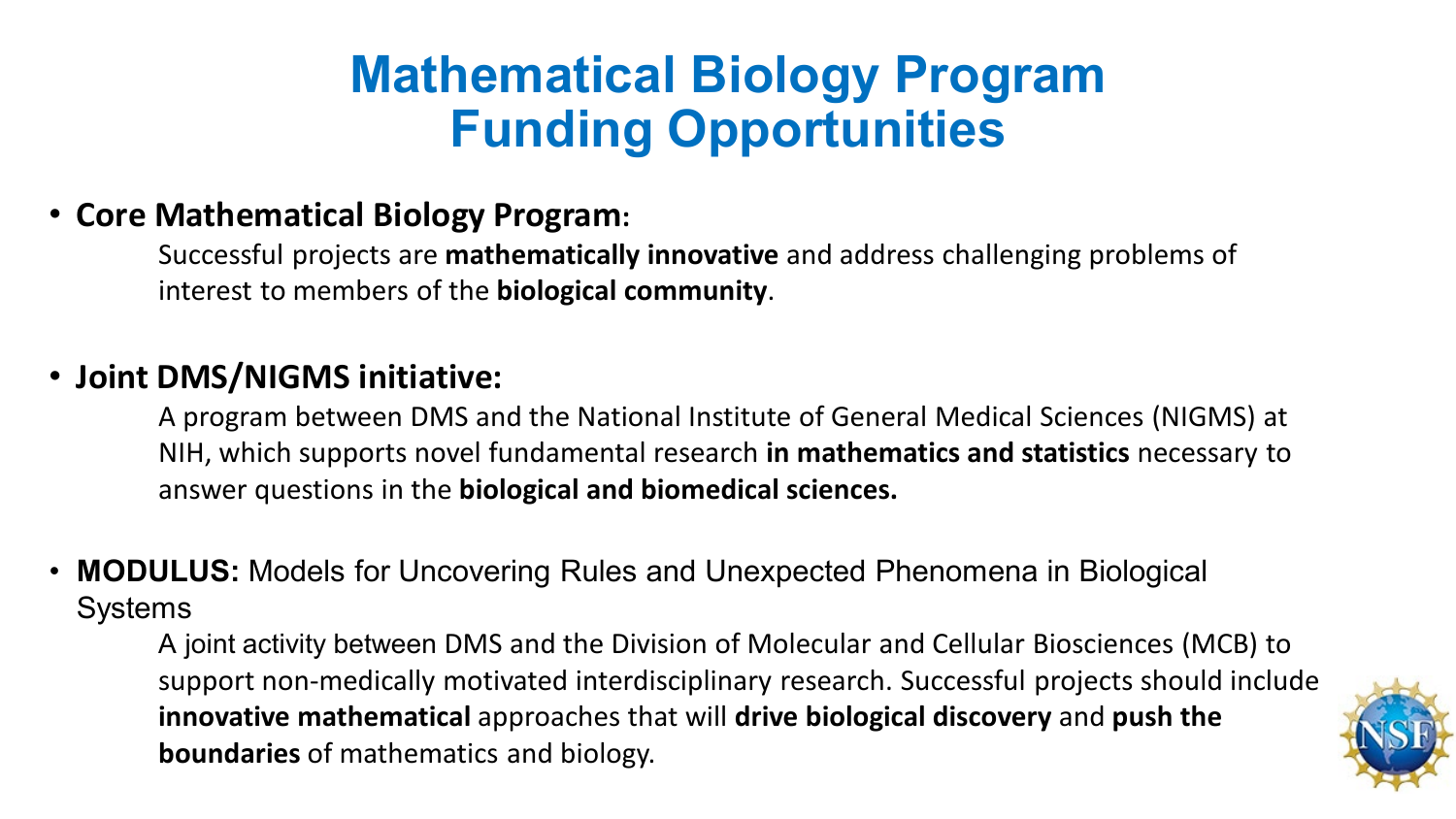## **Mathematical Biology Program Funding Opportunities**

#### • **Core Mathematical Biology Program:**

Successful projects are **mathematically innovative** and address challenging problems of interest to members of the **biological community**.

#### • **Joint DMS/NIGMS initiative:**

A program between DMS and the National Institute of General Medical Sciences (NIGMS) at NIH, which supports novel fundamental research **in mathematics and statistics** necessary to answer questions in the **biological and biomedical sciences.**

• **MODULUS:** Models for Uncovering Rules and Unexpected Phenomena in Biological **Systems** 

A joint activity between DMS and the Division of Molecular and Cellular Biosciences (MCB) to support non-medically motivated interdisciplinary research. Successful projects should include **innovative mathematical** approaches that will **drive biological discovery** and **push the boundaries** of mathematics and biology.

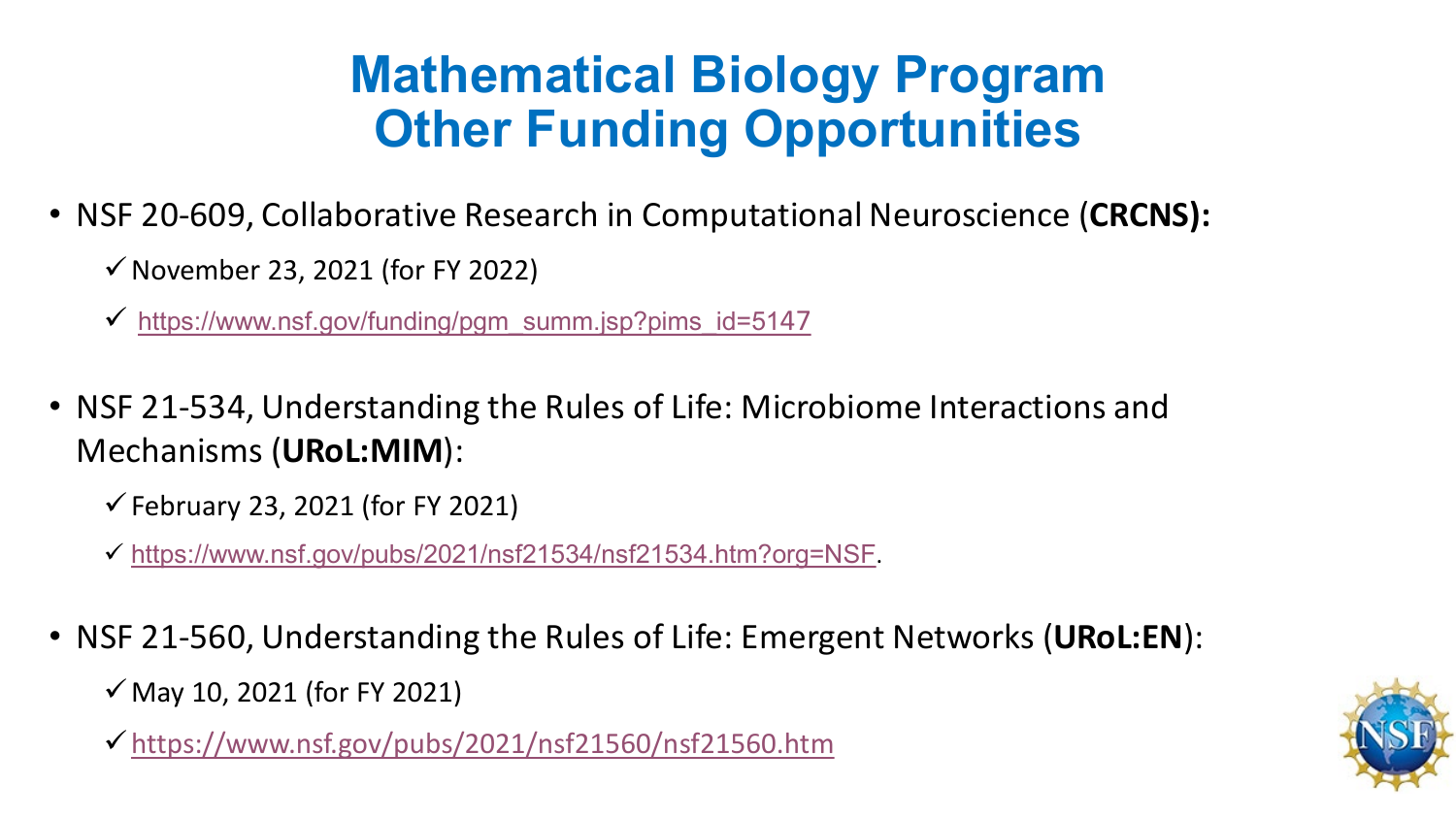## **Mathematical Biology Program Other Funding Opportunities**

- NSF 20-609, Collaborative Research in Computational Neuroscience (**CRCNS):** 
	- $\checkmark$  November 23, 2021 (for FY 2022)
	- [https://www.nsf.gov/funding/pgm\\_summ.jsp?pims\\_id=51](https://www.nsf.gov/funding/pgm_summ.jsp?pims_id=5147)47
- NSF 21-534, Understanding the Rules of Life: Microbiome Interactions and Mechanisms (**URoL:MIM**):
	- $\checkmark$  February 23, 2021 (for FY 2021)
	- <https://www.nsf.gov/pubs/2021/nsf21534/nsf21534.htm?org=NSF>.
- NSF 21-560, Understanding the Rules of Life: Emergent Networks (**URoL:EN**):
	- $\checkmark$  May 10, 2021 (for FY 2021)
	- <https://www.nsf.gov/pubs/2021/nsf21560/nsf21560.htm>

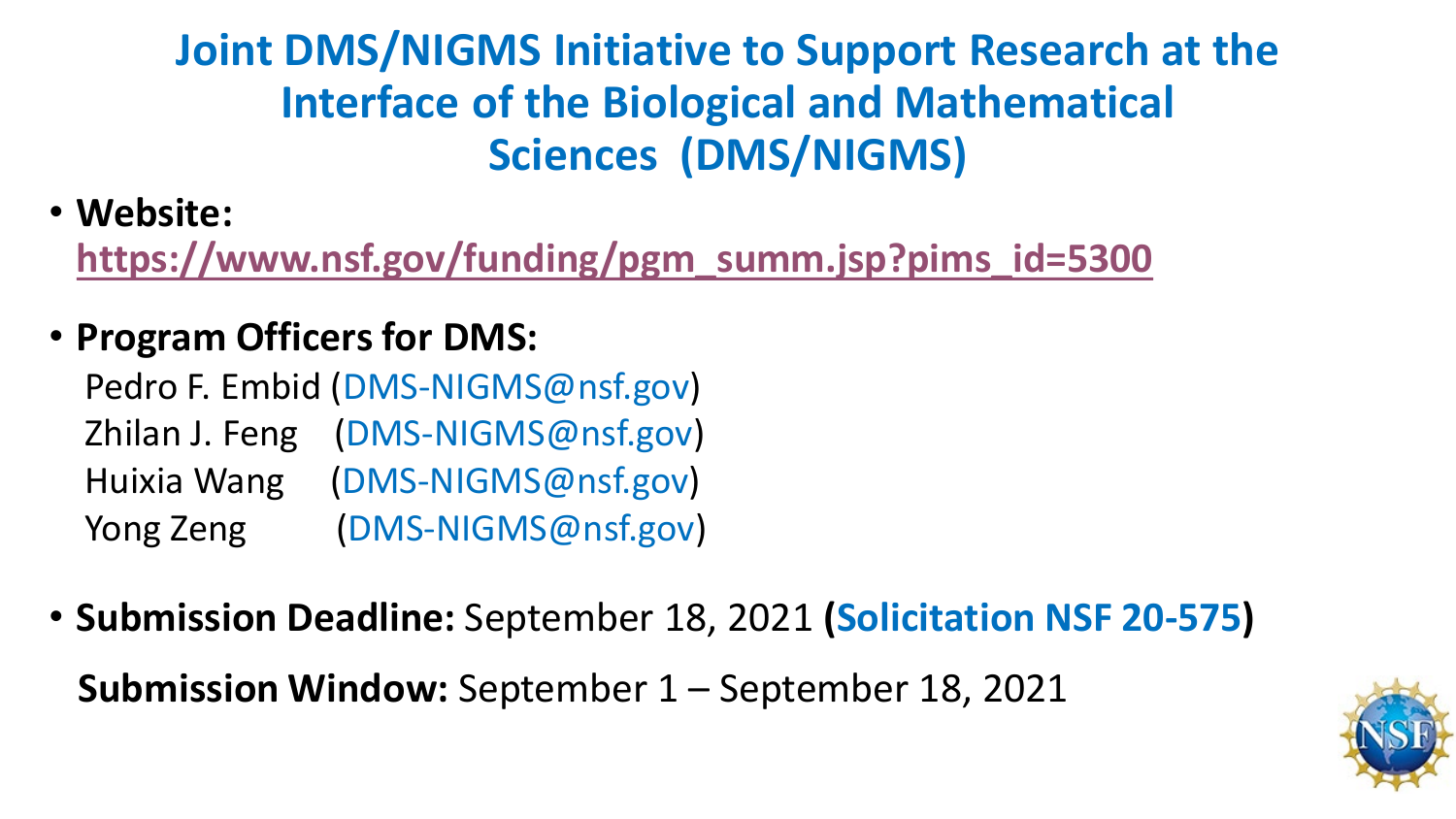**Joint DMS/NIGMS Initiative to Support Research at the Interface of the Biological and Mathematical Sciences (DMS/NIGMS)**

• **Website:** 

**[https://www.nsf.gov/funding/pgm\\_summ.jsp?pims\\_id=5300](https://www.nsf.gov/funding/pgm_summ.jsp?pims_id=5300)**

• **Program Officers for DMS:** 

Pedro F. Embid (DMS-NIGMS@nsf.gov) Zhilan J. Feng (DMS-NIGMS@nsf.gov) Huixia Wang (DMS-NIGMS@nsf.gov) Yong Zeng (DMS-NIGMS@nsf.gov)

• **Submission Deadline:** September 18, 2021 **(Solicitation NSF 20-575)**

**Submission Window:** September 1 – September 18, 2021

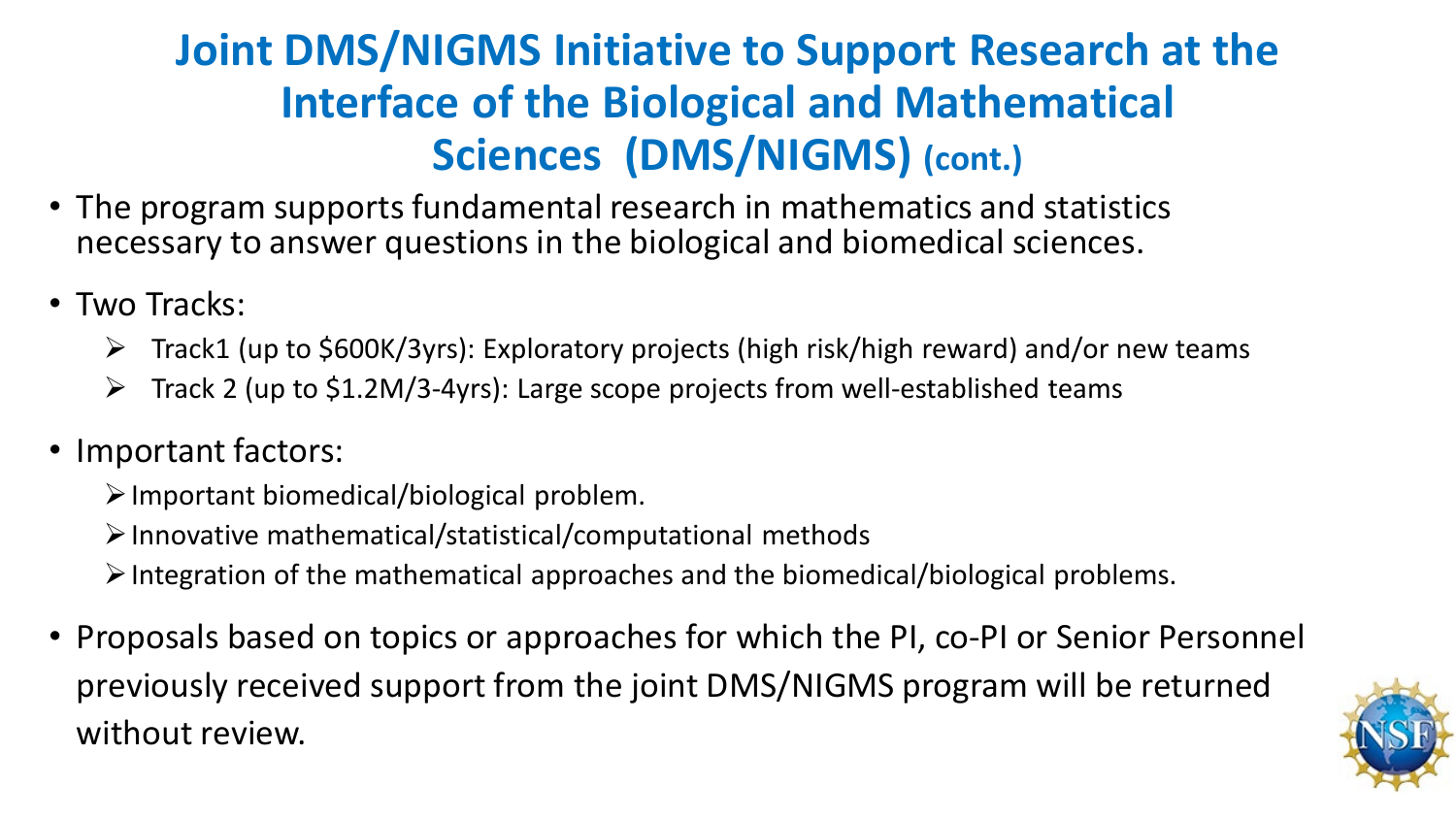### **Joint DMS/NIGMS Initiative to Support Research at the Interface of the Biological and Mathematical Sciences (DMS/NIGMS) (cont.)**

- The program supports fundamental research in mathematics and statistics necessary to answer questions in the biological and biomedical sciences.
- Two Tracks:
	- $\triangleright$  Track1 (up to \$600K/3yrs): Exploratory projects (high risk/high reward) and/or new teams
	- $\triangleright$  Track 2 (up to \$1.2M/3-4yrs): Large scope projects from well-established teams
- Important factors:
	- $\triangleright$  Important biomedical/biological problem.
	- $\triangleright$  Innovative mathematical/statistical/computational methods
	- $\triangleright$  Integration of the mathematical approaches and the biomedical/biological problems.
- Proposals based on topics or approaches for which the PI, co-PI or Senior Personnel previously received support from the joint DMS/NIGMS program will be returned without review.

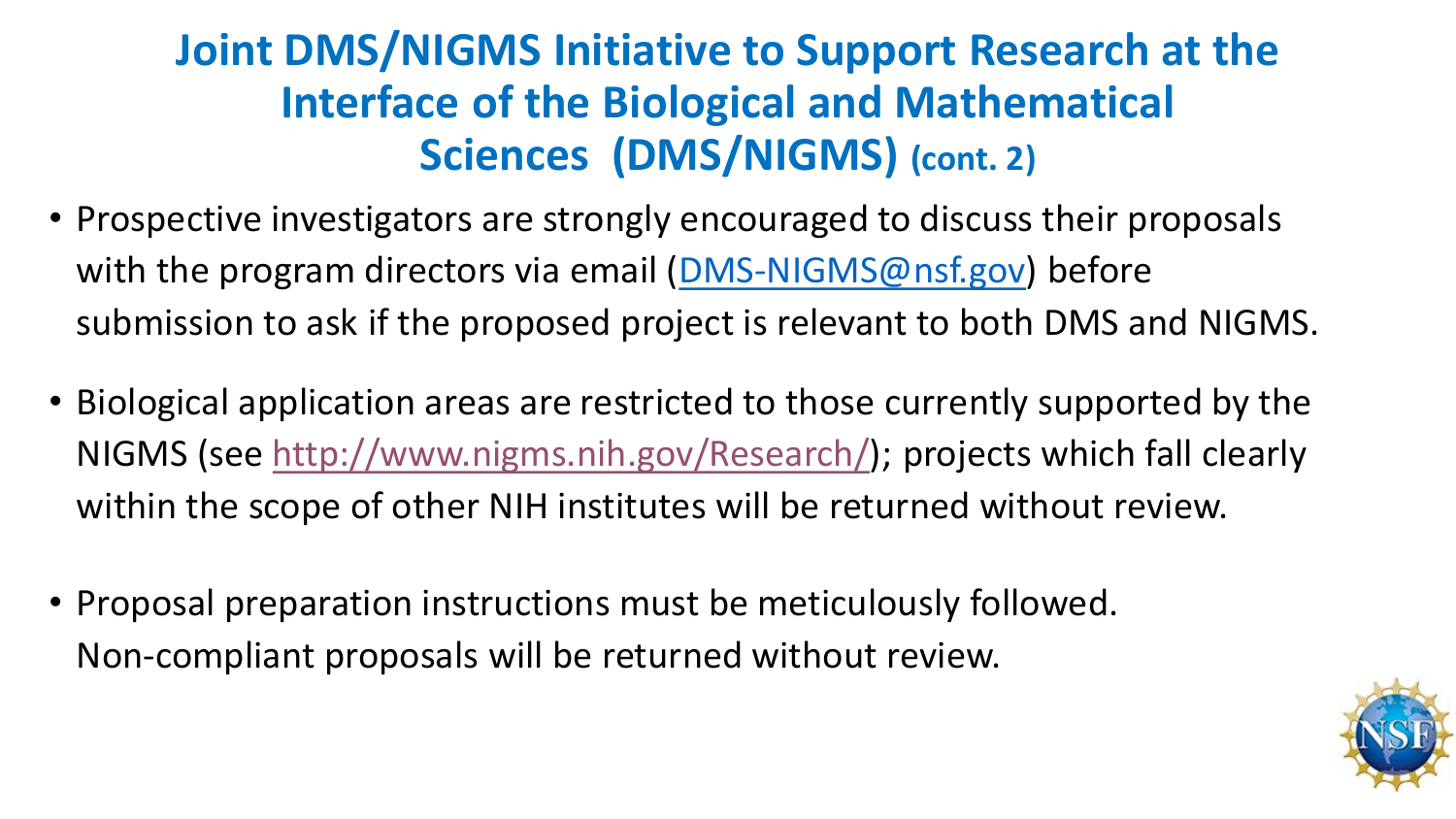### **Joint DMS/NIGMS Initiative to Support Research at the Interface of the Biological and Mathematical Sciences (DMS/NIGMS) (cont. 2)**

- Prospective investigators are strongly encouraged to discuss their proposals with the program directors via email ([DMS-NIGMS@nsf.gov\)](mailto:DMS-NIGMS@nsf.gov) before submission to ask if the proposed project is relevant to both DMS and NIGMS.
- Biological application areas are restricted to those currently supported by the NIGMS (see [http://www.nigms.nih.gov/Research/\)](http://www.nigms.nih.gov/Research/); projects which fall clearly within the scope of other NIH institutes will be returned without review.
- Proposal preparation instructions must be meticulously followed. Non-compliant proposals will be returned without review.

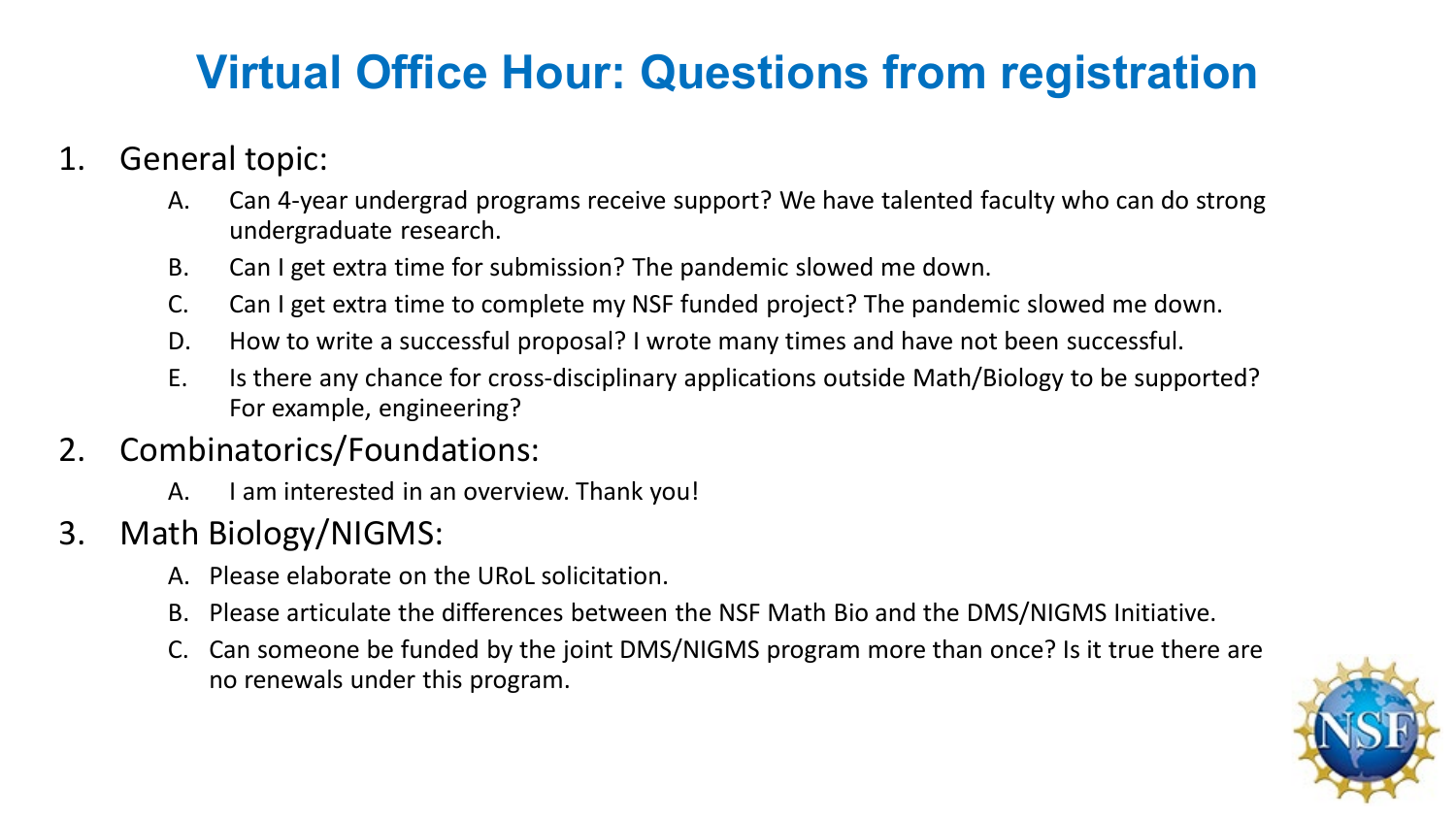### **Virtual Office Hour: Questions from registration**

- 1. General topic:
	- A. Can 4-year undergrad programs receive support? We have talented faculty who can do strong undergraduate research.
	- B. Can I get extra time for submission? The pandemic slowed me down.
	- C. Can I get extra time to complete my NSF funded project? The pandemic slowed me down.
	- D. How to write a successful proposal? I wrote many times and have not been successful.
	- E. Is there any chance for cross-disciplinary applications outside Math/Biology to be supported? For example, engineering?

#### 2. Combinatorics/Foundations:

A. I am interested in an overview. Thank you!

#### 3. Math Biology/NIGMS:

- A. Please elaborate on the URoL solicitation.
- B. Please articulate the differences between the NSF Math Bio and the DMS/NIGMS Initiative.
- C. Can someone be funded by the joint DMS/NIGMS program more than once? Is it true there are no renewals under this program.